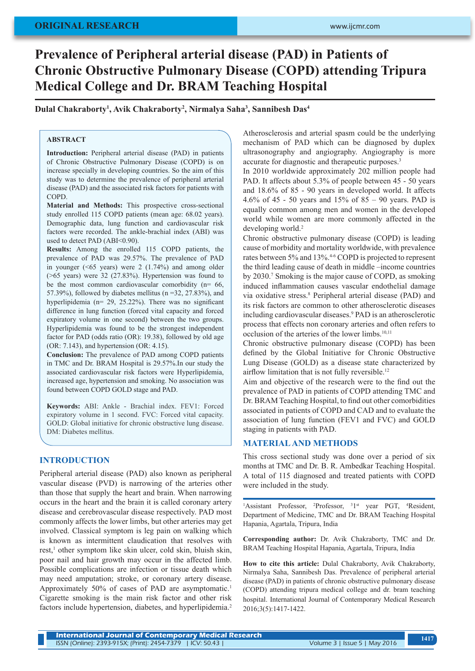# **Prevalence of Peripheral arterial disease (PAD) in Patients of Chronic Obstructive Pulmonary Disease (COPD) attending Tripura Medical College and Dr. BRAM Teaching Hospital**

**Dulal Chakraborty1 , Avik Chakraborty2 , Nirmalya Saha3 , Sannibesh Das4**

# **ABSTRACT**

**Introduction:** Peripheral arterial disease (PAD) in patients of Chronic Obstructive Pulmonary Disease (COPD) is on increase specially in developing countries. So the aim of this study was to determine the prevalence of peripheral arterial disease (PAD) and the associated risk factors for patients with **COPD** 

**Material and Methods:** This prospective cross-sectional study enrolled 115 COPD patients (mean age: 68.02 years). Demographic data, lung function and cardiovascular risk factors were recorded. The ankle-brachial index (ABI) was used to detect PAD (ABI<0.90).

**Results:** Among the enrolled 115 COPD patients, the prevalence of PAD was 29.57%. The prevalence of PAD in younger  $(\le 65$  years) were 2  $(1.74\%)$  and among older  $($ >65 years) were 32 (27.83%). Hypertension was found to be the most common cardiovascular comorbidity  $(n= 66)$ , 57.39%), followed by diabetes mellitus ( $n = 32$ , 27.83%), and hyperlipidemia (n= 29, 25.22%). There was no significant difference in lung function (forced vital capacity and forced expiratory volume in one second) between the two groups. Hyperlipidemia was found to be the strongest independent factor for PAD (odds ratio (OR): 19.38), followed by old age (OR: 7.143), and hypertension (OR: 4.15).

**Conclusion:** The prevalence of PAD among COPD patients in TMC and Dr. BRAM Hospital is 29.57%.In our study the associated cardiovascular risk factors were Hyperlipidemia, increased age, hypertension and smoking. No association was found between COPD GOLD stage and PAD.

**Keywords:** ABI: Ankle - Brachial index. FEV1: Forced expiratory volume in 1 second. FVC: Forced vital capacity. GOLD: Global initiative for chronic obstructive lung disease. DM: Diabetes mellitus.

## **INTRODUCTION**

Peripheral arterial disease (PAD) also known as peripheral vascular disease (PVD) is narrowing of the arteries other than those that supply the heart and brain. When narrowing occurs in the heart and the brain it is called coronary artery disease and cerebrovascular disease respectively. PAD most commonly affects the lower limbs, but other arteries may get involved. Classical symptom is leg pain on walking which is known as intermittent claudication that resolves with rest,<sup>1</sup> other symptom like skin ulcer, cold skin, bluish skin, poor nail and hair growth may occur in the affected limb. Possible complications are infection or tissue death which may need amputation; stroke, or coronary artery disease. Approximately 50% of cases of PAD are asymptomatic.<sup>1</sup> Cigarette smoking is the main risk factor and other risk factors include hypertension, diabetes, and hyperlipidemia.<sup>2</sup>

Atherosclerosis and arterial spasm could be the underlying mechanism of PAD which can be diagnosed by duplex ultrasonography and angiography. Angiography is more accurate for diagnostic and therapeutic purposes.3

In 2010 worldwide approximately 202 million people had PAD. It affects about 5.3% of people between 45 - 50 years and 18.6% of 85 - 90 years in developed world. It affects 4.6% of 45 - 50 years and 15% of 85 – 90 years. PAD is equally common among men and women in the developed world while women are more commonly affected in the developing world.<sup>2</sup>

Chronic obstructive pulmonary disease (COPD) is leading cause of morbidity and mortality worldwide, with prevalence rates between 5% and 13%.<sup>4-6</sup> COPD is projected to represent the third leading cause of death in middle –income countries by 2030.7 Smoking is the major cause of COPD, as smoking induced inflammation causes vascular endothelial damage via oxidative stress.<sup>8</sup> Peripheral arterial disease (PAD) and its risk factors are common to other atherosclerotic diseases including cardiovascular diseases.9 PAD is an atherosclerotic process that effects non coronary arteries and often refers to occlusion of the arteries of the lower limbs.<sup>10,11</sup>

Chronic obstructive pulmonary disease (COPD) has been defined by the Global Initiative for Chronic Obstructive Lung Disease (GOLD) as a disease state characterized by airflow limitation that is not fully reversible.<sup>12</sup>

Aim and objective of the research were to the find out the prevalence of PAD in patients of COPD attending TMC and Dr. BRAM Teaching Hospital, to find out other comorbidities associated in patients of COPD and CAD and to evaluate the association of lung function (FEV1 and FVC) and GOLD staging in patients with PAD.

## **MATERIAL AND METHODS**

This cross sectional study was done over a period of six months at TMC and Dr. B. R. Ambedkar Teaching Hospital. A total of 115 diagnosed and treated patients with COPD were included in the study.

<sup>1</sup>Assistant Professor, <sup>2</sup>Professor, <sup>3</sup>1<sup>st</sup> year PGT, <sup>4</sup>Resident, Department of Medicine, TMC and Dr. BRAM Teaching Hospital Hapania, Agartala, Tripura, India

**Corresponding author:** Dr. Avik Chakraborty, TMC and Dr. BRAM Teaching Hospital Hapania, Agartala, Tripura, India

**How to cite this article:** Dulal Chakraborty, Avik Chakraborty, Nirmalya Saha, Sannibesh Das. Prevalence of peripheral arterial disease (PAD) in patients of chronic obstructive pulmonary disease (COPD) attending tripura medical college and dr. bram teaching hospital. International Journal of Contemporary Medical Research 2016;3(5):1417-1422.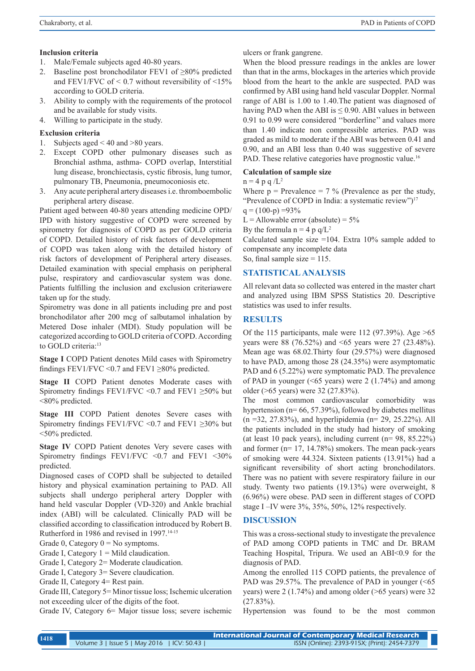### **Inclusion criteria**

- 1. Male/Female subjects aged 40-80 years.
- 2. Baseline post bronchodilator FEV1 of  $\geq 80\%$  predicted and FEV1/FVC of  $\leq$  0.7 without reversibility of  $\leq$ 15% according to GOLD criteria.
- 3. Ability to comply with the requirements of the protocol and be available for study visits.
- 4. Willing to participate in the study.

## **Exclusion criteria**

- 1. Subjects aged < 40 and >80 years.
- 2. Except COPD other pulmonary diseases such as Bronchial asthma, asthma- COPD overlap, Interstitial lung disease, bronchiectasis, cystic fibrosis, lung tumor, pulmonary TB, Pneumonia, pneumoconiosis etc.
- 3. Any acute peripheral artery diseases i.e. thromboembolic peripheral artery disease.

Patient aged between 40-80 years attending medicine OPD/ IPD with history suggestive of COPD were screened by spirometry for diagnosis of COPD as per GOLD criteria of COPD. Detailed history of risk factors of development of COPD was taken along with the detailed history of risk factors of development of Peripheral artery diseases. Detailed examination with special emphasis on peripheral pulse, respiratory and cardiovascular system was done. Patients fulfilling the inclusion and exclusion criteriawere taken up for the study.

Spirometry was done in all patients including pre and post bronchodilator after 200 mcg of salbutamol inhalation by Metered Dose inhaler (MDI). Study population will be categorized according to GOLD criteria of COPD. According to GOLD criteria:<sup>13</sup>

**Stage I** COPD Patient denotes Mild cases with Spirometry findings FEV1/FVC < 0.7 and FEV1  $\geq$ 80% predicted.

**Stage II** COPD Patient denotes Moderate cases with Spirometry findings FEV1/FVC < 0.7 and FEV1  $\geq$  50% but <80% predicted.

**Stage III** COPD Patient denotes Severe cases with Spirometry findings FEV1/FVC <0.7 and FEV1  $\geq$ 30% but <50% predicted.

**Stage IV** COPD Patient denotes Very severe cases with Spirometry findings FEV1/FVC <0.7 and FEV1 <30% predicted.

Diagnosed cases of COPD shall be subjected to detailed history and physical examination pertaining to PAD. All subjects shall undergo peripheral artery Doppler with hand held vascular Doppler (VD-320) and Ankle brachial index (ABI) will be calculated. Clinically PAD will be classified according to classification introduced by Robert B. Rutherford in 1986 and revised in 1997.<sup>14-15</sup>

Grade 0, Category  $0 = No$  symptoms.

Grade I, Category  $1 =$  Mild claudication.

Grade I, Category 2= Moderate claudication.

Grade I, Category 3= Severe claudication.

Grade III, Category 5= Minor tissue loss; Ischemic ulceration not exceeding ulcer of the digits of the foot.

Grade IV, Category 6= Major tissue loss; severe ischemic

ulcers or frank gangrene.

When the blood pressure readings in the ankles are lower than that in the arms, blockages in the arteries which provide blood from the heart to the ankle are suspected. PAD was confirmed by ABI using hand held vascular Doppler. Normal range of ABI is 1.00 to 1.40.The patient was diagnosed of having PAD when the ABI is  $\leq$  0.90. ABI values in between 0.91 to 0.99 were considered ''borderline'' and values more than 1.40 indicate non compressible arteries. PAD was graded as mild to moderate if the ABI was between 0.41 and 0.90, and an ABI less than 0.40 was suggestive of severe PAD. These relative categories have prognostic value.<sup>16</sup>

#### **Calculation of sample size**

 $n = 4 p q / L^2$ 

Where  $p = Prevalence = 7 \%$  (Prevalence as per the study, "Prevalence of COPD in India: a systematic review")<sup>17</sup>

 $q = (100-p) = 93\%$ 

L = Allowable error (absolute) =  $5\%$ 

By the formula  $n = 4$  p q/L<sup>2</sup>

Calculated sample size  $=104$ . Extra 10% sample added to compensate any incomplete data

So, final sample size  $= 115$ .

#### **STATISTICAL ANALYSIS**

All relevant data so collected was entered in the master chart and analyzed using IBM SPSS Statistics 20. Descriptive statistics was used to infer results.

## **RESULTS**

Of the 115 participants, male were 112 (97.39%). Age  $>65$ years were 88 (76.52%) and <65 years were 27 (23.48%). Mean age was 68.02.Thirty four (29.57%) were diagnosed to have PAD, among those 28 (24.35%) were asymptomatic PAD and 6 (5.22%) were symptomatic PAD. The prevalence of PAD in younger ( $\leq 65$  years) were 2 (1.74%) and among older (>65 years) were 32 (27.83%).

The most common cardiovascular comorbidity was hypertension (n= 66, 57.39%), followed by diabetes mellitus (n =32, 27.83%), and hyperlipidemia (n= 29, 25.22%). All the patients included in the study had history of smoking (at least 10 pack years), including current (n= 98, 85.22%) and former (n= 17, 14.78%) smokers. The mean pack-years of smoking were 44.324. Sixteen patients (13.91%) had a significant reversibility of short acting bronchodilators. There was no patient with severe respiratory failure in our study. Twenty two patients (19.13%) were overweight, 8 (6.96%) were obese. PAD seen in different stages of COPD stage I –IV were 3%, 35%, 50%, 12% respectively.

#### **DISCUSSION**

This was a cross-sectional study to investigate the prevalence of PAD among COPD patients in TMC and Dr. BRAM Teaching Hospital, Tripura. We used an ABI<0.9 for the diagnosis of PAD.

Among the enrolled 115 COPD patients, the prevalence of PAD was 29.57%. The prevalence of PAD in younger (<65) years) were 2 (1.74%) and among older (>65 years) were 32  $(27.83\%)$ .

Hypertension was found to be the most common

Grade II, Category 4= Rest pain.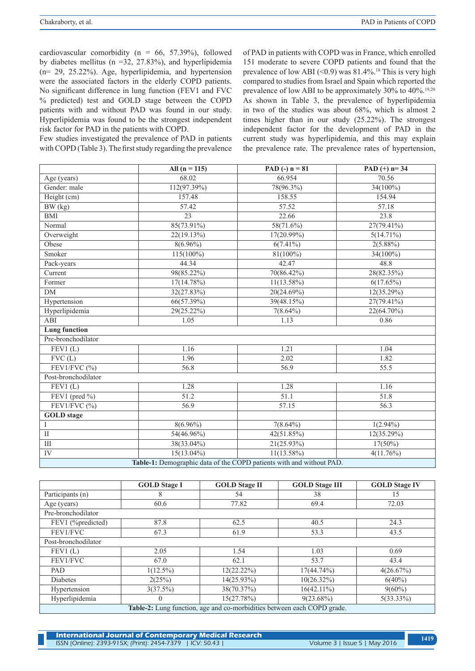cardiovascular comorbidity ( $n = 66, 57.39\%$ ), followed by diabetes mellitus (n =32, 27.83%), and hyperlipidemia (n= 29, 25.22%). Age, hyperlipidemia, and hypertension were the associated factors in the elderly COPD patients. No significant difference in lung function (FEV1 and FVC % predicted) test and GOLD stage between the COPD patients with and without PAD was found in our study. Hyperlipidemia was found to be the strongest independent risk factor for PAD in the patients with COPD.

Few studies investigated the prevalence of PAD in patients with COPD (Table 3). The first study regarding the prevalence of PAD in patients with COPD was in France, which enrolled 151 moderate to severe COPD patients and found that the prevalence of low ABI  $(<0.9)$  was 81.4%.<sup>18</sup> This is very high compared to studies from Israel and Spain which reported the prevalence of low ABI to be approximately 30% to 40%.19,20 As shown in Table 3, the prevalence of hyperlipidemia in two of the studies was about 68%, which is almost 2 times higher than in our study (25.22%). The strongest independent factor for the development of PAD in the current study was hyperlipidemia, and this may explain the prevalence rate. The prevalence rates of hypertension,

|                                                                      | All $(n = 115)$ | PAD $(-)$ n = 81 | PAD $(+)$ n= 34 |  |  |  |
|----------------------------------------------------------------------|-----------------|------------------|-----------------|--|--|--|
| Age (years)                                                          | 68.02           | 66.954           | 70.56           |  |  |  |
| Gender: male                                                         | 112(97.39%)     | 78(96.3%)        | $34(100\%)$     |  |  |  |
| Height (cm)                                                          | 157.48          | 158.55           | 154.94          |  |  |  |
| BW (kg)                                                              | 57.42           | 57.52            | 57.18           |  |  |  |
| <b>BMI</b>                                                           | 23              | 22.66            | 23.8            |  |  |  |
| Normal                                                               | 85(73.91%)      | 58(71.6%)        | 27(79.41%)      |  |  |  |
| Overweight                                                           | 22(19.13%)      | 17(20.99%)       | $5(14.71\%)$    |  |  |  |
| Obese                                                                | $8(6.96\%)$     | $6(7.41\%)$      | $2(5.88\%)$     |  |  |  |
| Smoker                                                               | $115(100\%)$    | $81(100\%)$      | $34(100\%)$     |  |  |  |
| Pack-years                                                           | 44.34           | 42.47            | 48.8            |  |  |  |
| Current                                                              | 98(85.22%)      | 70(86.42%)       | 28(82.35%)      |  |  |  |
| Former                                                               | $17(14.78\%)$   | $11(13.58\%)$    | 6(17.65%)       |  |  |  |
| DM                                                                   | 32(27.83%)      | 20(24.69%)       | 12(35.29%)      |  |  |  |
| Hypertension                                                         | 66(57.39%)      | 39(48.15%)       | $27(79.41\%)$   |  |  |  |
| Hyperlipidemia                                                       | 29(25.22%)      | $7(8.64\%)$      | 22(64.70%)      |  |  |  |
| ABI                                                                  | 1.05            | 1.13             | 0.86            |  |  |  |
| <b>Lung</b> function                                                 |                 |                  |                 |  |  |  |
| Pre-bronchodilator                                                   |                 |                  |                 |  |  |  |
| FEV1(L)                                                              | 1.16            | 1.21             | 1.04            |  |  |  |
| FVC(L)                                                               | 1.96            | 2.02             | 1.82            |  |  |  |
| FEV1/FVC $(\% )$                                                     | 56.8            | 56.9             | 55.5            |  |  |  |
| Post-bronchodilator                                                  |                 |                  |                 |  |  |  |
| FEV1(L)                                                              | 1.28            | 1.28             | 1.16            |  |  |  |
| FEV1 (pred $\%$ )                                                    | 51.2            | 51.1             | 51.8            |  |  |  |
| FEV1/FVC $(%)$                                                       | 56.9            | 57.15            | 56.3            |  |  |  |
| <b>GOLD</b> stage                                                    |                 |                  |                 |  |  |  |
| I                                                                    | $8(6.96\%)$     | $7(8.64\%)$      | $1(2.94\%)$     |  |  |  |
| $\overline{\rm II}$                                                  | $54(46.96\%)$   | 42(51.85%)       | 12(35.29%)      |  |  |  |
| $\rm III$                                                            | 38(33.04%)      | $21(25.93\%)$    | $17(50\%)$      |  |  |  |
| ${\rm IV}$                                                           | $15(13.04\%)$   | $11(13.58\%)$    | 4(11.76%)       |  |  |  |
| Table-1: Demographic data of the COPD patients with and without PAD. |                 |                  |                 |  |  |  |

|                                                                         | <b>GOLD Stage I</b> | <b>GOLD Stage II</b> | <b>GOLD Stage III</b> | <b>GOLD Stage IV</b> |  |  |  |
|-------------------------------------------------------------------------|---------------------|----------------------|-----------------------|----------------------|--|--|--|
| Participants (n)                                                        | 8                   | 54                   | 38                    | 15                   |  |  |  |
| Age (years)                                                             | 60.6                | 77.82                | 69.4                  | 72.03                |  |  |  |
| Pre-bronchodilator                                                      |                     |                      |                       |                      |  |  |  |
| FEV1 (%predicted)                                                       | 87.8                | 62.5                 | 40.5                  | 24.3                 |  |  |  |
| FEV1/FVC                                                                | 67.3                | 61.9                 | 53.3                  | 43.5                 |  |  |  |
| Post-bronchodilator                                                     |                     |                      |                       |                      |  |  |  |
| FEV1(L)                                                                 | 2.05                | 1.54                 | 1.03                  | 0.69                 |  |  |  |
| FEV1/FVC                                                                | 67.0                | 62.1                 | 53.7                  | 43.4                 |  |  |  |
| PAD                                                                     | $1(12.5\%)$         | 12(22.22%)           | $17(44.74\%)$         | 4(26.67%)            |  |  |  |
| <b>Diabetes</b>                                                         | 2(25%)              | $14(25.93\%)$        | $10(26.32\%)$         | $6(40\%)$            |  |  |  |
| Hypertension                                                            | 3(37.5%)            | 38(70.37%)           | $16(42.11\%)$         | $9(60\%)$            |  |  |  |
| Hyperlipidemia                                                          | $\mathbf{0}$        | 15(27.78%)           | $9(23.68\%)$          | $5(33.33\%)$         |  |  |  |
| Table-2: Lung function, age and co-morbidities between each COPD grade. |                     |                      |                       |                      |  |  |  |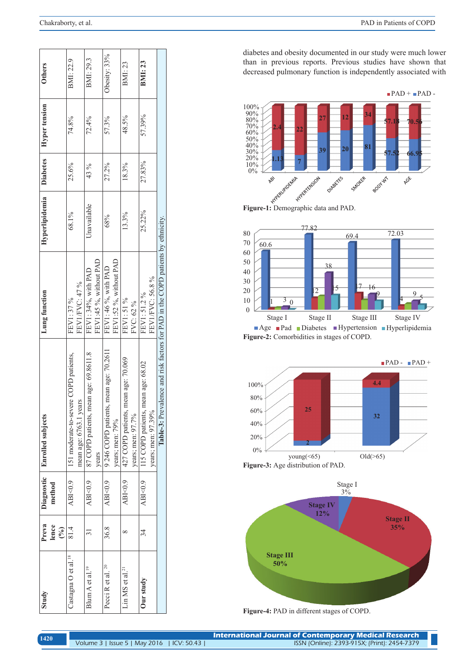| <b>Others</b>            | BMI: 22.9                                                           | BMI: 29.3                                      | Obesity: 33%                                                 | BMI:23                                                         | <b>BMI:23</b>                                               |                                                                                | diabetes and obesity documented in our study were mu<br>than in previous reports. Previous studies have sho<br>decreased pulmonary function is independently associa<br>$\blacksquare$ PAD + $\blacksquare$                                                                 |
|--------------------------|---------------------------------------------------------------------|------------------------------------------------|--------------------------------------------------------------|----------------------------------------------------------------|-------------------------------------------------------------|--------------------------------------------------------------------------------|-----------------------------------------------------------------------------------------------------------------------------------------------------------------------------------------------------------------------------------------------------------------------------|
| <b>Hyper</b> tension     | 74.8%                                                               | 72.4%                                          | 57.3%                                                        | 48.5%                                                          | 57.39%                                                      |                                                                                | 100%<br>$\begin{array}{l} 90\% \\ 90\% \\ 80\% \\ 70\% \\ 60\% \\ 50\% \\ 40\% \\ 20\% \\ 10\% \\ 10\% \\ 0\% \end{array}$<br>34<br>12<br>$\overline{27}$<br>57.1<br>70.5<br>22<br>81<br>20<br>39<br>66.9<br>57.52                                                          |
| <b>Diabetes</b>          | 25.6%                                                               | 43 %                                           | 27.2%                                                        | 18.3%                                                          | 27.83%                                                      |                                                                                | $\mathbf{J}$<br>$\overline{7}$<br>AGE<br>HYPER KENSON<br>DIABETES<br>SMOKER<br>BOOT WT<br>HYPERIZODEANA                                                                                                                                                                     |
| Hyperlipidemia           | 68.1%                                                               | Unavailable                                    | 68%                                                          | 13.3%                                                          | 25.22%                                                      |                                                                                | Figure-1: Demographic data and PAD.<br>77.82<br>72.03<br>80<br>69.4<br>70<br>60.6                                                                                                                                                                                           |
| Lung function            | FEV1/FVC: 47 %<br>FEV1: 37 %                                        | FEV1:45 %, without PAD<br>FEV1: 34%, with PAD  | FEV1:52 %, without PAD<br>FEV1: 46 %, with PAD               | FEV1: 51 %<br>FVC: 62 %                                        | FEV1/FVC: 56.8%<br>FEV1: 51.2%                              |                                                                                | 60<br>50<br>38<br>$40\,$<br>30<br>46<br>ℨ<br>$\overline{2}$<br>20<br>$\overline{Q}$<br>3<br>10<br>$\overline{0}$<br>$\mathbf{0}$<br>Stage I<br>Stage II<br>Stage III<br>Stage IV<br>Age Pad Diabetes Hypertension Hyperlipide<br>Figure-2: Comorbidities in stages of COPD. |
| <b>Enrolled</b> subjects | ere COPD patients,<br>mean age: 6763.1 years<br>151 moderate-to-sev | 87 COPD patients, mean age: 69.8611.8<br>years | s, mean age: 70.261<br>9 246 COPD patient<br>years; men: 79% | mean age: 70.069<br>427 COPD patients,<br>years; men: $97.7\%$ | mean age: 68.02<br>years; men: 97.39%<br>115 COPD patients, | Table-3: Prevalence and risk factors for PAD in the COPD patients by ethnicity | $\blacksquare$ PAD - $\blacksquare$ PA<br>4.4<br>100%<br>$80\%$<br>60%<br>25<br>32<br>40%<br>20%<br>0%<br>young $(\leq 65)$<br>Old $($ >65)<br>Figure-3: Age distribution of PAD.                                                                                           |
| Diagnostic<br>method     | ABI<0.9                                                             | ABI<0.9                                        | ە<br>ABI<0.                                                  | ABI<0.9                                                        | ABI<0.9                                                     |                                                                                | Stage I<br>3%<br><b>Stage IV</b><br>12%                                                                                                                                                                                                                                     |
| Preva<br>lence<br>(0)    | 81.4                                                                | $\overline{31}$                                | 36.8                                                         | $\infty$                                                       | 34                                                          |                                                                                | <b>Stage II</b><br>35%                                                                                                                                                                                                                                                      |
| Study                    | Castagna O et al. <sup>18</sup>                                     | Blum $A$ et al. <sup>19</sup>                  | $\approx$<br>et al<br>Pecci R                                | $\overline{a}$ .<br>Lin MS et al                               | Our study                                                   |                                                                                | <b>Stage III</b><br>50%<br>Figure-4: PAD in different stages of COPD.                                                                                                                                                                                                       |
| 1420                     |                                                                     |                                                |                                                              |                                                                |                                                             | Volume 3   Issue 5   May 2016   ICV: 50.43                                     | <b>International Journal of Contemporary Medical Research</b><br>ISSN (Online): 2393-915X; (Print): 2454-7379                                                                                                                                                               |

diabetes and obesity documented in our study were much lower than in previous reports. Previous studies have shown that decreased pulmonary function is independently associated with









**Figure-4:** PAD in different stages of COPD.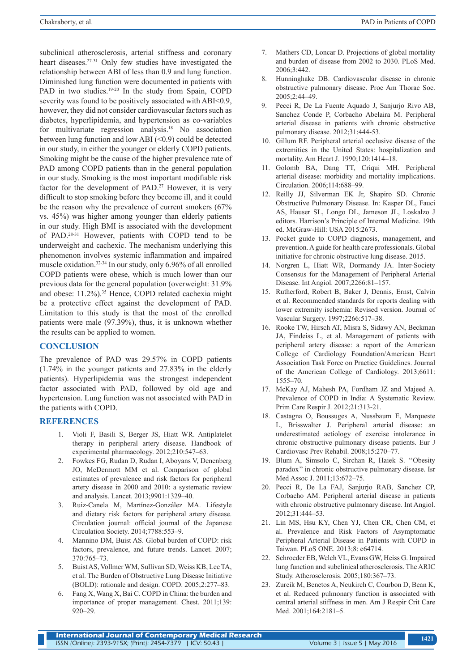subclinical atherosclerosis, arterial stiffness and coronary heart diseases.27-31 Only few studies have investigated the relationship between ABI of less than 0.9 and lung function. Diminished lung function were documented in patients with PAD in two studies.<sup>19-20</sup> In the study from Spain, COPD severity was found to be positively associated with ABI<0.9, however, they did not consider cardiovascular factors such as diabetes, hyperlipidemia, and hypertension as co-variables for multivariate regression analysis.<sup>18</sup> No association between lung function and low ABI (<0.9) could be detected in our study, in either the younger or elderly COPD patients. Smoking might be the cause of the higher prevalence rate of PAD among COPD patients than in the general population in our study. Smoking is the most important modifiable risk factor for the development of PAD.<sup>27</sup> However, it is very difficult to stop smoking before they become ill, and it could be the reason why the prevalence of current smokers (67% vs. 45%) was higher among younger than elderly patients in our study. High BMI is associated with the development of PAD.28-31 However, patients with COPD tend to be underweight and cachexic. The mechanism underlying this phenomenon involves systemic inflammation and impaired muscle oxidation.32-34 In our study, only 6.96% of all enrolled COPD patients were obese, which is much lower than our previous data for the general population (overweight: 31.9% and obese: 11.2%).<sup>35</sup> Hence, COPD related cachexia might be a protective effect against the development of PAD. Limitation to this study is that the most of the enrolled patients were male (97.39%), thus, it is unknown whether the results can be applied to women.

## **CONCLUSION**

The prevalence of PAD was 29.57% in COPD patients (1.74% in the younger patients and 27.83% in the elderly patients). Hyperlipidemia was the strongest independent factor associated with PAD, followed by old age and hypertension. Lung function was not associated with PAD in the patients with COPD.

#### **REFERENCES**

- 1. Violi F, Basili S, Berger JS, Hiatt WR. Antiplatelet therapy in peripheral artery disease. Handbook of experimental pharmacology. 2012;210:547–63.
- 2. Fowkes FG, Rudan D, Rudan I, Aboyans V, Denenberg JO, McDermott MM et al. Comparison of global estimates of prevalence and risk factors for peripheral artery disease in 2000 and 2010: a systematic review and analysis. Lancet. 2013;9901:1329–40.
- 3. Ruiz-Canela M, Martínez-González MA. Lifestyle and dietary risk factors for peripheral artery disease. Circulation journal: official journal of the Japanese Circulation Society. 2014;7788:553–9.
- 4. Mannino DM, Buist AS. Global burden of COPD: risk factors, prevalence, and future trends. Lancet. 2007; 370:765–73.
- 5. Buist AS, Vollmer WM, Sullivan SD, Weiss KB, Lee TA, et al. The Burden of Obstructive Lung Disease Initiative (BOLD): rationale and design. COPD. 2005;2:277–83.
- 6. Fang X, Wang X, Bai C. COPD in China: the burden and importance of proper management. Chest. 2011;139: 920–29.
- 7. Mathers CD, Loncar D. Projections of global mortality and burden of disease from 2002 to 2030. PLoS Med.  $2006:3:442$
- 8. Hunninghake DB. Cardiovascular disease in chronic obstructive pulmonary disease. Proc Am Thorac Soc. 2005;2:44–49.
- 9. Pecci R, De La Fuente Aquado J, Sanjurjo Rivo AB, Sanchez Conde P, Corbacho Abelaira M. Peripheral arterial disease in patients with chronic obstructive pulmonary disease. 2012;31:444-53.
- 10. Gillum RF. Peripheral arterial occlusive disease of the extremities in the United States: hospitalization and mortality. Am Heart J. 1990;120:1414–18.
- 11. Golomb BA, Dang TT, Criqui MH. Peripheral arterial disease: morbidity and mortality implications. Circulation. 2006;114:688–99.
- 12. Reilly JJ, Silverman EK Jr, Shapiro SD. Chronic Obstructive Pulmonary Disease. In: Kasper DL, Fauci AS, Hauser SL, Longo DL, Jameson JL, Loskalzo J editors. Harrison's Principle of Internal Medicine. 19th ed. McGraw-Hill: USA 2015:2673.
- 13. Pocket guide to COPD diagnosis, management, and prevention. A guide for health care professionals. Global initiative for chronic obstructive lung disease. 2015.
- 14. Norgren L, Hiatt WR, Dormandy JA. Inter-Society Consensus for the Management of Peripheral Arterial Disease. Int Angiol. 2007;2266:81–157.
- 15. Rutherford, Robert B, Baker J, Dennis, Ernst, Calvin et al. Recommended standards for reports dealing with lower extremity ischemia: Revised version. Journal of Vascular Surgery. 1997;2266:517–38.
- 16. Rooke TW, Hirsch AT, Misra S, Sidawy AN, Beckman JA, Findeiss L, et al. Management of patients with peripheral artery disease: a report of the American College of Cardiology Foundation/American Heart Association Task Force on Practice Guidelines. Journal of the American College of Cardiology. 2013;6611: 1555–70.
- 17. McKay AJ, Mahesh PA, Fordham JZ and Majeed A. Prevalence of COPD in India: A Systematic Review. Prim Care Respir J. 2012;21:313-21.
- 18. Castagna O, Boussuges A, Nussbaum E, Marqueste L, Brisswalter J. Peripheral arterial disease: an underestimated aetiology of exercise intolerance in chronic obstructive pulmonary disease patients. Eur J Cardiovasc Prev Rehabil. 2008;15:270–77.
- 19. Blum A, Simsolo C, Sirchan R, Haiek S. ''Obesity paradox'' in chronic obstructive pulmonary disease. Isr Med Assoc J. 2011;13:672–75.
- 20. Pecci R, De La FAJ, Sanjurjo RAB, Sanchez CP, Corbacho AM. Peripheral arterial disease in patients with chronic obstructive pulmonary disease. Int Angiol. 2012;31:444–53.
- 21. Lin MS, Hsu KY, Chen YJ, Chen CR, Chen CM, et al. Prevalence and Risk Factors of Asymptomatic Peripheral Arterial Disease in Patients with COPD in Taiwan. PLoS ONE. 2013;8: e64714.
- 22. Schroeder EB, Welch VL, Evans GW, Heiss G. Impaired lung function and subclinical atherosclerosis. The ARIC Study. Atherosclerosis. 2005;180:367–73.
- 23. Zureik M, Benetos A, Neukirch C, Courbon D, Bean K, et al. Reduced pulmonary function is associated with central arterial stiffness in men. Am J Respir Crit Care Med. 2001;164:2181–5.